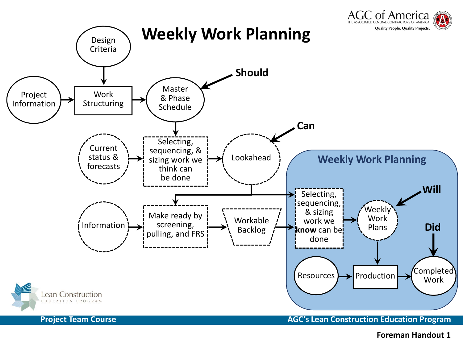

**Foreman Handout 1**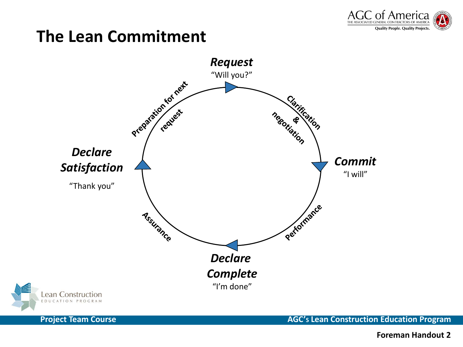

## **The Lean Commitment**





**Project Team Course AGC's Lean Construction Education Program** 

**Foreman Handout 2**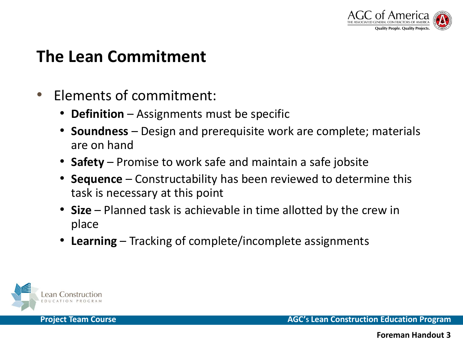

## **The Lean Commitment**

- • Elements of commitment:
	- •**Definition** – Assignments must be specific
	- **Soundness** Design and prerequisite work are complete; materials are on hand
	- **Safety** Promise to work safe and maintain a safe jobsite
	- • **Sequence** – Constructability has been reviewed to determine this task is necessary at this point
	- • **Size** – Planned task is achievable in time allotted by the crew in place
	- • **Learning** –Tracking of complete/incomplete assignments